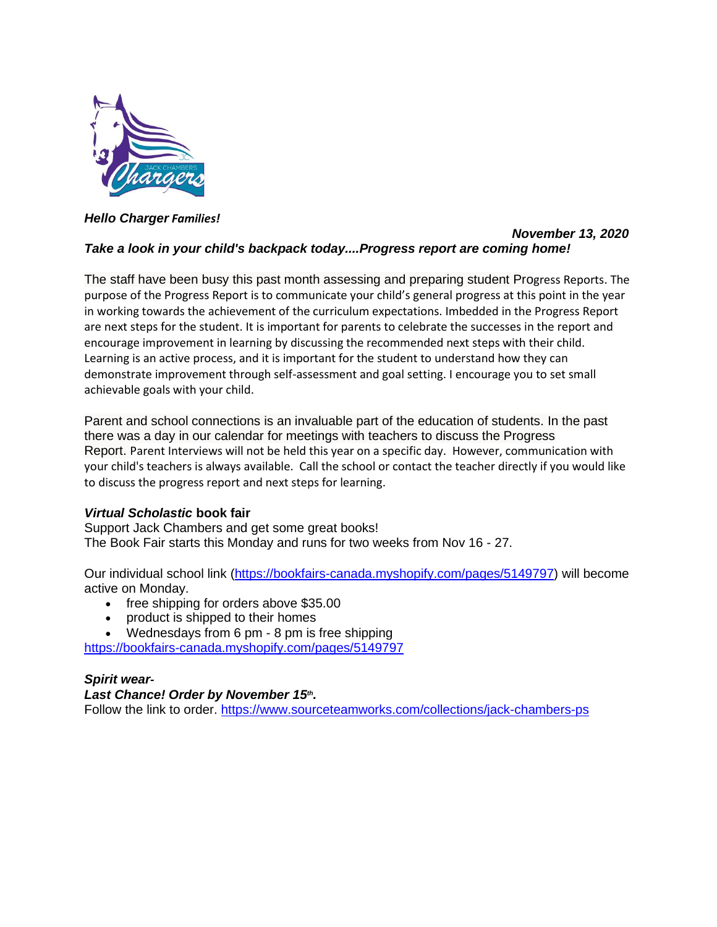

*Hello Charger Families!*

## *November 13, 2020 Take a look in your child's backpack today....Progress report are coming home!*

The staff have been busy this past month assessing and preparing student Progress Reports. The purpose of the Progress Report is to communicate your child's general progress at this point in the year in working towards the achievement of the curriculum expectations. Imbedded in the Progress Report are next steps for the student. It is important for parents to celebrate the successes in the report and encourage improvement in learning by discussing the recommended next steps with their child. Learning is an active process, and it is important for the student to understand how they can demonstrate improvement through self-assessment and goal setting. I encourage you to set small achievable goals with your child.

Parent and school connections is an invaluable part of the education of students. In the past there was a day in our calendar for meetings with teachers to discuss the Progress Report. Parent Interviews will not be held this year on a specific day. However, communication with your child's teachers is always available. Call the school or contact the teacher directly if you would like to discuss the progress report and next steps for learning.

# *Virtual Scholastic* **book fair**

Support Jack Chambers and get some great books! The Book Fair starts this Monday and runs for two weeks from Nov 16 - 27.

Our individual school link [\(https://bookfairs-canada.myshopify.com/pages/5149797\)](https://bookfairs-canada.myshopify.com/pages/5149797) will become active on Monday.

- free shipping for orders above \$35.00
- product is shipped to their homes

• Wednesdays from 6 pm - 8 pm is free shipping <https://bookfairs-canada.myshopify.com/pages/5149797>

# *Spirit wear-*

## *Last Chance! Order by November 15th .*

Follow the link to order. <https://www.sourceteamworks.com/collections/jack-chambers-ps>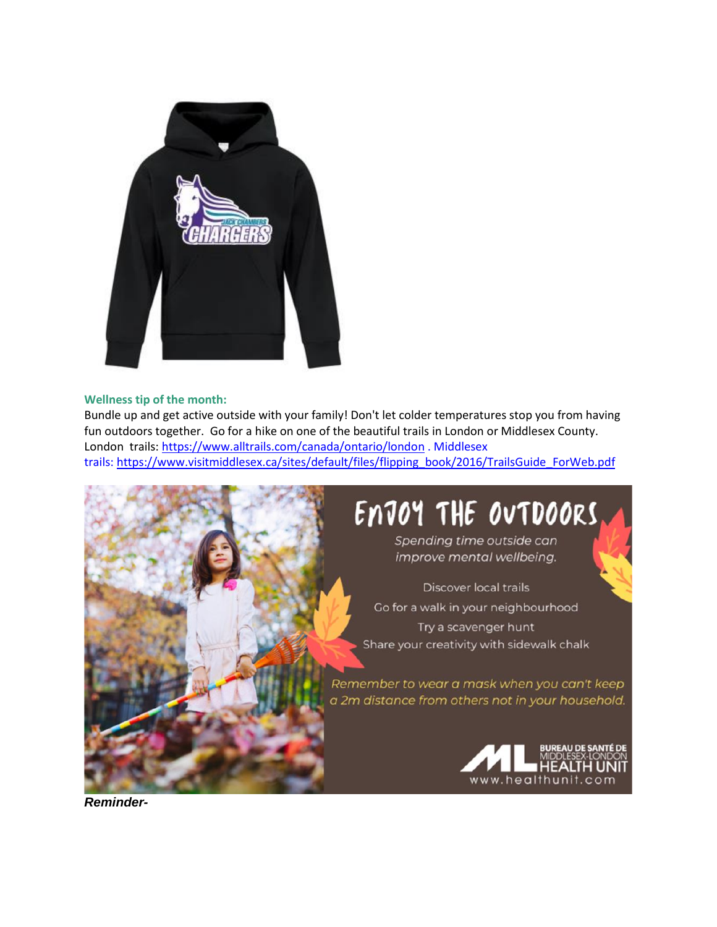

#### **Wellness tip of the month:**

Bundle up and get active outside with your family! Don't let colder temperatures stop you from having fun outdoors together. Go for a hike on one of the beautiful trails in London or Middlesex County. London trails: <https://www.alltrails.com/canada/ontario/london> . Middlesex trails: [https://www.visitmiddlesex.ca/sites/default/files/flipping\\_book/2016/TrailsGuide\\_ForWeb.pdf](https://www.visitmiddlesex.ca/sites/default/files/flipping_book/2016/TrailsGuide_ForWeb.pdf)



*Reminder-*